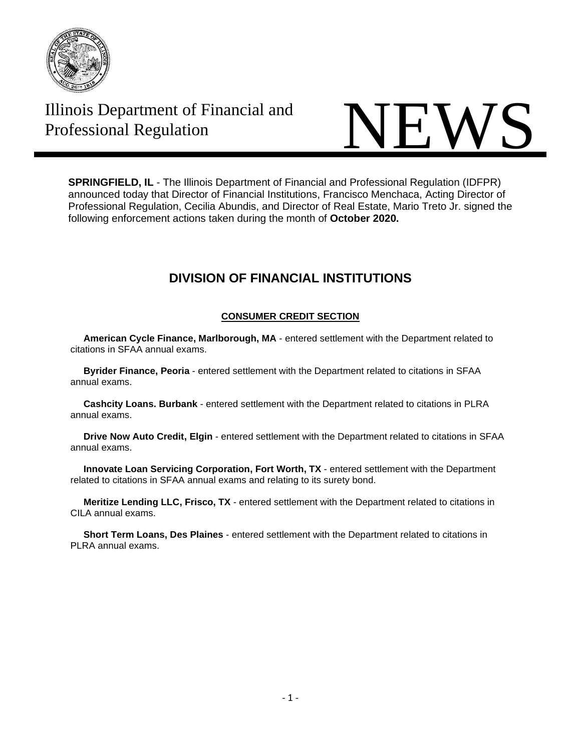

# Illinois Department of Financial and



**SPRINGFIELD, IL** - The Illinois Department of Financial and Professional Regulation (IDFPR) announced today that Director of Financial Institutions, Francisco Menchaca, Acting Director of Professional Regulation, Cecilia Abundis, and Director of Real Estate, Mario Treto Jr. signed the following enforcement actions taken during the month of **October 2020.**

## **DIVISION OF FINANCIAL INSTITUTIONS**

### **CONSUMER CREDIT SECTION**

 **American Cycle Finance, Marlborough, MA** - entered settlement with the Department related to citations in SFAA annual exams.

 **Byrider Finance, Peoria** - entered settlement with the Department related to citations in SFAA annual exams.

 **Cashcity Loans. Burbank** - entered settlement with the Department related to citations in PLRA annual exams.

 **Drive Now Auto Credit, Elgin** - entered settlement with the Department related to citations in SFAA annual exams.

 **Innovate Loan Servicing Corporation, Fort Worth, TX** - entered settlement with the Department related to citations in SFAA annual exams and relating to its surety bond.

 **Meritize Lending LLC, Frisco, TX** - entered settlement with the Department related to citations in CILA annual exams.

 **Short Term Loans, Des Plaines** - entered settlement with the Department related to citations in PLRA annual exams.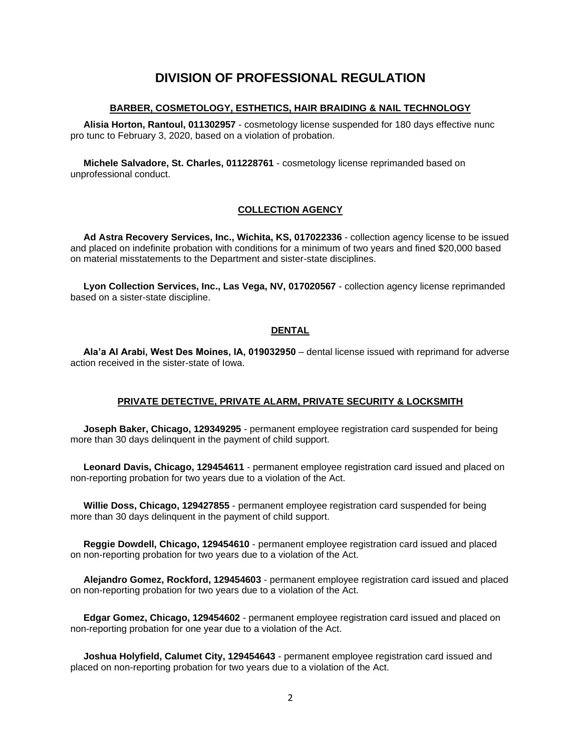## **DIVISION OF PROFESSIONAL REGULATION**

#### **BARBER, COSMETOLOGY, ESTHETICS, HAIR BRAIDING & NAIL TECHNOLOGY**

 **Alisia Horton, Rantoul, 011302957** - cosmetology license suspended for 180 days effective nunc pro tunc to February 3, 2020, based on a violation of probation.

 **Michele Salvadore, St. Charles, 011228761** - cosmetology license reprimanded based on unprofessional conduct.

#### **COLLECTION AGENCY**

 **Ad Astra Recovery Services, Inc., Wichita, KS, 017022336** - collection agency license to be issued and placed on indefinite probation with conditions for a minimum of two years and fined \$20,000 based on material misstatements to the Department and sister-state disciplines.

 **Lyon Collection Services, Inc., Las Vega, NV, 017020567** - collection agency license reprimanded based on a sister-state discipline.

#### **DENTAL**

 **Ala'a Al Arabi, West Des Moines, IA, 019032950** – dental license issued with reprimand for adverse action received in the sister-state of Iowa.

#### **PRIVATE DETECTIVE, PRIVATE ALARM, PRIVATE SECURITY & LOCKSMITH**

 **Joseph Baker, Chicago, 129349295** - permanent employee registration card suspended for being more than 30 days delinquent in the payment of child support.

 **Leonard Davis, Chicago, 129454611** - permanent employee registration card issued and placed on non-reporting probation for two years due to a violation of the Act.

 **Willie Doss, Chicago, 129427855** - permanent employee registration card suspended for being more than 30 days delinquent in the payment of child support.

 **Reggie Dowdell, Chicago, 129454610** - permanent employee registration card issued and placed on non-reporting probation for two years due to a violation of the Act.

 **Alejandro Gomez, Rockford, 129454603** - permanent employee registration card issued and placed on non-reporting probation for two years due to a violation of the Act.

 **Edgar Gomez, Chicago, 129454602** - permanent employee registration card issued and placed on non-reporting probation for one year due to a violation of the Act.

 **Joshua Holyfield, Calumet City, 129454643** - permanent employee registration card issued and placed on non-reporting probation for two years due to a violation of the Act.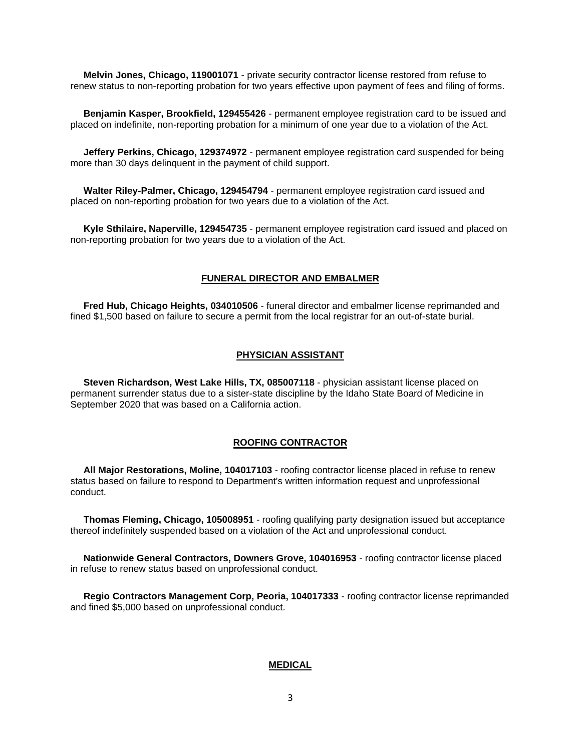**Melvin Jones, Chicago, 119001071** - private security contractor license restored from refuse to renew status to non-reporting probation for two years effective upon payment of fees and filing of forms.

 **Benjamin Kasper, Brookfield, 129455426** - permanent employee registration card to be issued and placed on indefinite, non-reporting probation for a minimum of one year due to a violation of the Act.

 **Jeffery Perkins, Chicago, 129374972** - permanent employee registration card suspended for being more than 30 days delinquent in the payment of child support.

 **Walter Riley-Palmer, Chicago, 129454794** - permanent employee registration card issued and placed on non-reporting probation for two years due to a violation of the Act.

 **Kyle Sthilaire, Naperville, 129454735** - permanent employee registration card issued and placed on non-reporting probation for two years due to a violation of the Act.

#### **FUNERAL DIRECTOR AND EMBALMER**

 **Fred Hub, Chicago Heights, 034010506** - funeral director and embalmer license reprimanded and fined \$1,500 based on failure to secure a permit from the local registrar for an out-of-state burial.

#### **PHYSICIAN ASSISTANT**

 **Steven Richardson, West Lake Hills, TX, 085007118** - physician assistant license placed on permanent surrender status due to a sister-state discipline by the Idaho State Board of Medicine in September 2020 that was based on a California action.

#### **ROOFING CONTRACTOR**

 **All Major Restorations, Moline, 104017103** - roofing contractor license placed in refuse to renew status based on failure to respond to Department's written information request and unprofessional conduct.

 **Thomas Fleming, Chicago, 105008951** - roofing qualifying party designation issued but acceptance thereof indefinitely suspended based on a violation of the Act and unprofessional conduct.

 **Nationwide General Contractors, Downers Grove, 104016953** - roofing contractor license placed in refuse to renew status based on unprofessional conduct.

 **Regio Contractors Management Corp, Peoria, 104017333** - roofing contractor license reprimanded and fined \$5,000 based on unprofessional conduct.

#### **MEDICAL**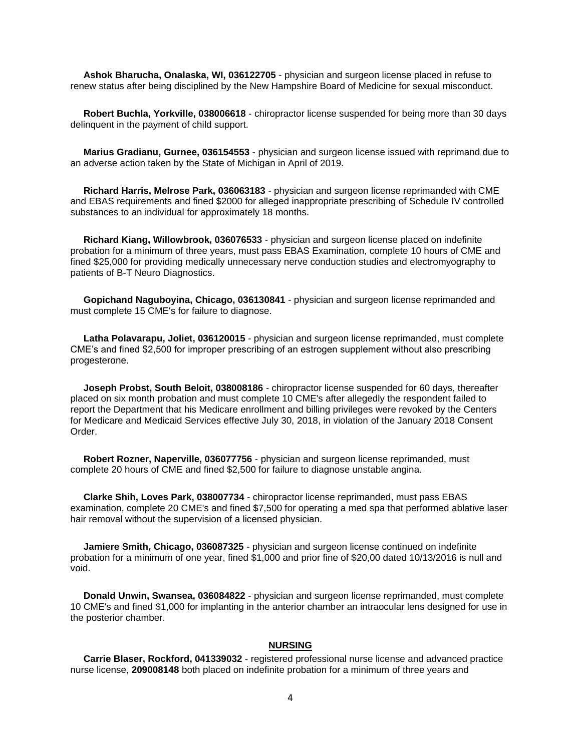**Ashok Bharucha, Onalaska, WI, 036122705** - physician and surgeon license placed in refuse to renew status after being disciplined by the New Hampshire Board of Medicine for sexual misconduct.

 **Robert Buchla, Yorkville, 038006618** - chiropractor license suspended for being more than 30 days delinquent in the payment of child support.

 **Marius Gradianu, Gurnee, 036154553** - physician and surgeon license issued with reprimand due to an adverse action taken by the State of Michigan in April of 2019.

 **Richard Harris, Melrose Park, 036063183** - physician and surgeon license reprimanded with CME and EBAS requirements and fined \$2000 for alleged inappropriate prescribing of Schedule IV controlled substances to an individual for approximately 18 months.

 **Richard Kiang, Willowbrook, 036076533** - physician and surgeon license placed on indefinite probation for a minimum of three years, must pass EBAS Examination, complete 10 hours of CME and fined \$25,000 for providing medically unnecessary nerve conduction studies and electromyography to patients of B-T Neuro Diagnostics.

 **Gopichand Naguboyina, Chicago, 036130841** - physician and surgeon license reprimanded and must complete 15 CME's for failure to diagnose.

 **Latha Polavarapu, Joliet, 036120015** - physician and surgeon license reprimanded, must complete CME's and fined \$2,500 for improper prescribing of an estrogen supplement without also prescribing progesterone.

 **Joseph Probst, South Beloit, 038008186** - chiropractor license suspended for 60 days, thereafter placed on six month probation and must complete 10 CME's after allegedly the respondent failed to report the Department that his Medicare enrollment and billing privileges were revoked by the Centers for Medicare and Medicaid Services effective July 30, 2018, in violation of the January 2018 Consent Order.

 **Robert Rozner, Naperville, 036077756** - physician and surgeon license reprimanded, must complete 20 hours of CME and fined \$2,500 for failure to diagnose unstable angina.

 **Clarke Shih, Loves Park, 038007734** - chiropractor license reprimanded, must pass EBAS examination, complete 20 CME's and fined \$7,500 for operating a med spa that performed ablative laser hair removal without the supervision of a licensed physician.

 **Jamiere Smith, Chicago, 036087325** - physician and surgeon license continued on indefinite probation for a minimum of one year, fined \$1,000 and prior fine of \$20,00 dated 10/13/2016 is null and void.

 **Donald Unwin, Swansea, 036084822** - physician and surgeon license reprimanded, must complete 10 CME's and fined \$1,000 for implanting in the anterior chamber an intraocular lens designed for use in the posterior chamber.

#### **NURSING**

 **Carrie Blaser, Rockford, 041339032** - registered professional nurse license and advanced practice nurse license, **209008148** both placed on indefinite probation for a minimum of three years and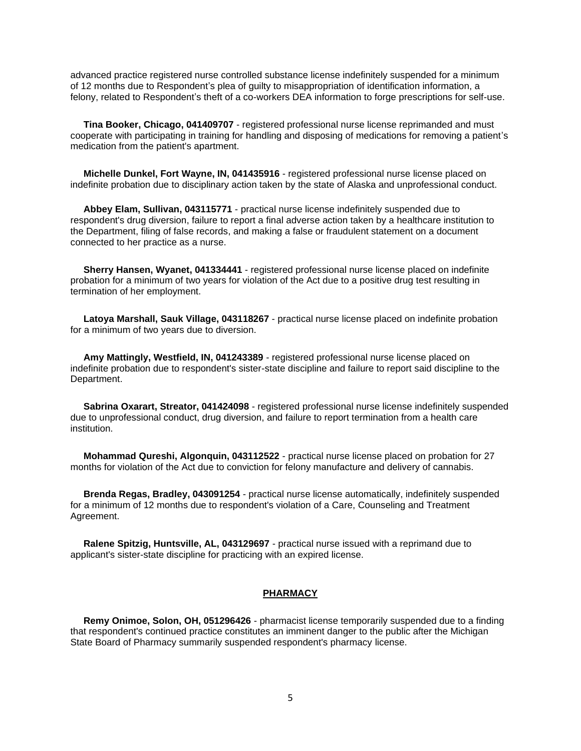advanced practice registered nurse controlled substance license indefinitely suspended for a minimum of 12 months due to Respondent's plea of guilty to misappropriation of identification information, a felony, related to Respondent's theft of a co-workers DEA information to forge prescriptions for self-use.

 **Tina Booker, Chicago, 041409707** - registered professional nurse license reprimanded and must cooperate with participating in training for handling and disposing of medications for removing a patient's medication from the patient's apartment.

 **Michelle Dunkel, Fort Wayne, IN, 041435916** - registered professional nurse license placed on indefinite probation due to disciplinary action taken by the state of Alaska and unprofessional conduct.

 **Abbey Elam, Sullivan, 043115771** - practical nurse license indefinitely suspended due to respondent's drug diversion, failure to report a final adverse action taken by a healthcare institution to the Department, filing of false records, and making a false or fraudulent statement on a document connected to her practice as a nurse.

 **Sherry Hansen, Wyanet, 041334441** - registered professional nurse license placed on indefinite probation for a minimum of two years for violation of the Act due to a positive drug test resulting in termination of her employment.

 **Latoya Marshall, Sauk Village, 043118267** - practical nurse license placed on indefinite probation for a minimum of two years due to diversion.

 **Amy Mattingly, Westfield, IN, 041243389** - registered professional nurse license placed on indefinite probation due to respondent's sister-state discipline and failure to report said discipline to the Department.

 **Sabrina Oxarart, Streator, 041424098** - registered professional nurse license indefinitely suspended due to unprofessional conduct, drug diversion, and failure to report termination from a health care institution.

 **Mohammad Qureshi, Algonquin, 043112522** - practical nurse license placed on probation for 27 months for violation of the Act due to conviction for felony manufacture and delivery of cannabis.

 **Brenda Regas, Bradley, 043091254** - practical nurse license automatically, indefinitely suspended for a minimum of 12 months due to respondent's violation of a Care, Counseling and Treatment Agreement.

 **Ralene Spitzig, Huntsville, AL, 043129697** - practical nurse issued with a reprimand due to applicant's sister-state discipline for practicing with an expired license.

#### **PHARMACY**

 **Remy Onimoe, Solon, OH, 051296426** - pharmacist license temporarily suspended due to a finding that respondent's continued practice constitutes an imminent danger to the public after the Michigan State Board of Pharmacy summarily suspended respondent's pharmacy license.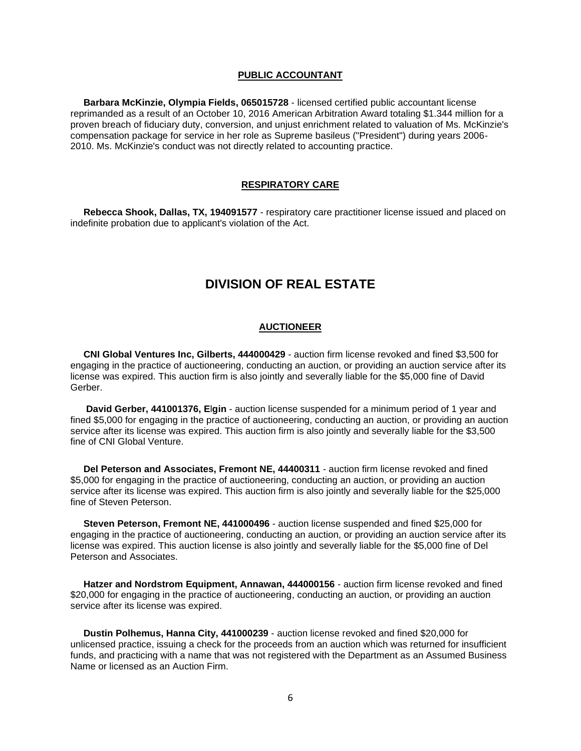#### **PUBLIC ACCOUNTANT**

 **Barbara McKinzie, Olympia Fields, 065015728** - licensed certified public accountant license reprimanded as a result of an October 10, 2016 American Arbitration Award totaling \$1.344 million for a proven breach of fiduciary duty, conversion, and unjust enrichment related to valuation of Ms. McKinzie's compensation package for service in her role as Supreme basileus ("President") during years 2006- 2010. Ms. McKinzie's conduct was not directly related to accounting practice.

#### **RESPIRATORY CARE**

 **Rebecca Shook, Dallas, TX, 194091577** - respiratory care practitioner license issued and placed on indefinite probation due to applicant's violation of the Act.

## **DIVISION OF REAL ESTATE**

#### **AUCTIONEER**

 **CNI Global Ventures Inc, Gilberts, 444000429** - auction firm license revoked and fined \$3,500 for engaging in the practice of auctioneering, conducting an auction, or providing an auction service after its license was expired. This auction firm is also jointly and severally liable for the \$5,000 fine of David Gerber.

 **David Gerber, 441001376, E**l**gin** - auction license suspended for a minimum period of 1 year and fined \$5,000 for engaging in the practice of auctioneering, conducting an auction, or providing an auction service after its license was expired. This auction firm is also jointly and severally liable for the \$3,500 fine of CNI Global Venture.

 **Del Peterson and Associates, Fremont NE, 44400311** - auction firm license revoked and fined \$5,000 for engaging in the practice of auctioneering, conducting an auction, or providing an auction service after its license was expired. This auction firm is also jointly and severally liable for the \$25,000 fine of Steven Peterson.

 **Steven Peterson, Fremont NE, 441000496** - auction license suspended and fined \$25,000 for engaging in the practice of auctioneering, conducting an auction, or providing an auction service after its license was expired. This auction license is also jointly and severally liable for the \$5,000 fine of Del Peterson and Associates.

 **Hatzer and Nordstrom Equipment, Annawan, 444000156** - auction firm license revoked and fined \$20,000 for engaging in the practice of auctioneering, conducting an auction, or providing an auction service after its license was expired.

 **Dustin Polhemus, Hanna City, 441000239** - auction license revoked and fined \$20,000 for unlicensed practice, issuing a check for the proceeds from an auction which was returned for insufficient funds, and practicing with a name that was not registered with the Department as an Assumed Business Name or licensed as an Auction Firm.